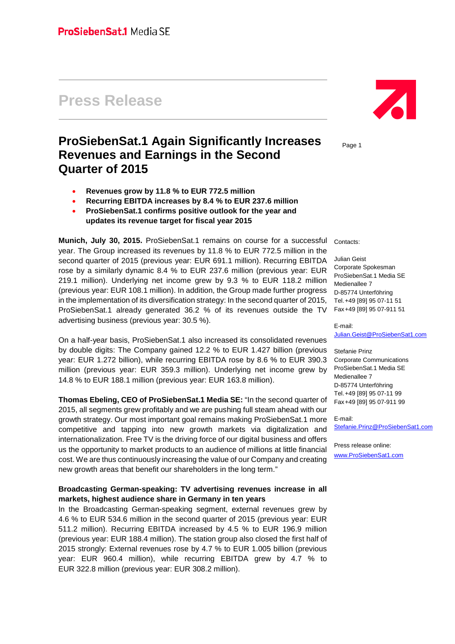# **Press Release**

## **ProSiebenSat.1 Again Significantly Increases Revenues and Earnings in the Second Quarter of 2015**

- **Revenues grow by 11.8 % to EUR 772.5 million**
- **Recurring EBITDA increases by 8.4 % to EUR 237.6 million**
- **ProSiebenSat.1 confirms positive outlook for the year and updates its revenue target for fiscal year 2015**

**Munich, July 30, 2015.** ProSiebenSat.1 remains on course for a successful year. The Group increased its revenues by 11.8 % to EUR 772.5 million in the second quarter of 2015 (previous year: EUR 691.1 million). Recurring EBITDA rose by a similarly dynamic 8.4 % to EUR 237.6 million (previous year: EUR 219.1 million). Underlying net income grew by 9.3 % to EUR 118.2 million (previous year: EUR 108.1 million). In addition, the Group made further progress in the implementation of its diversification strategy: In the second quarter of 2015, ProSiebenSat.1 already generated 36.2 % of its revenues outside the TV advertising business (previous year: 30.5 %).

On a half-year basis, ProSiebenSat.1 also increased its consolidated revenues by double digits: The Company gained 12.2 % to EUR 1.427 billion (previous year: EUR 1.272 billion), while recurring EBITDA rose by 8.6 % to EUR 390.3 million (previous year: EUR 359.3 million). Underlying net income grew by 14.8 % to EUR 188.1 million (previous year: EUR 163.8 million).

**Thomas Ebeling, CEO of ProSiebenSat.1 Media SE:** "In the second quarter of 2015, all segments grew profitably and we are pushing full steam ahead with our growth strategy. Our most important goal remains making ProSiebenSat.1 more competitive and tapping into new growth markets via digitalization and internationalization. Free TV is the driving force of our digital business and offers us the opportunity to market products to an audience of millions at little financial cost. We are thus continuously increasing the value of our Company and creating new growth areas that benefit our shareholders in the long term."

#### **Broadcasting German-speaking: TV advertising revenues increase in all markets, highest audience share in Germany in ten years**

In the Broadcasting German-speaking segment, external revenues grew by 4.6 % to EUR 534.6 million in the second quarter of 2015 (previous year: EUR 511.2 million). Recurring EBITDA increased by 4.5 % to EUR 196.9 million (previous year: EUR 188.4 million). The station group also closed the first half of 2015 strongly: External revenues rose by 4.7 % to EUR 1.005 billion (previous year: EUR 960.4 million), while recurring EBITDA grew by 4.7 % to EUR 322.8 million (previous year: EUR 308.2 million).



Page 1

Contacts:

Julian Geist Corporate Spokesman ProSiebenSat.1 Media SE Medienallee 7 D-85774 Unterföhring Tel.+49 [89] 95 07-11 51 Fax+49 [89] 95 07-911 51

E-mail:

[Julian.Geist@ProSiebenSat1.com](mailto:Julian.Geist@ProSiebenSat1.com)

Stefanie Prinz Corporate Communications ProSiebenSat.1 Media SE Medienallee 7 D-85774 Unterföhring Tel.+49 [89] 95 07-11 99 Fax+49 [89] 95 07-911 99

E-mail: [Stefanie.Prinz@ProSiebenSat1.com](mailto:Stefanie.Prinz@ProSiebenSat1.com)

Press release online: [www.ProSiebenSat1.com](http://www.prosiebensat1.com/)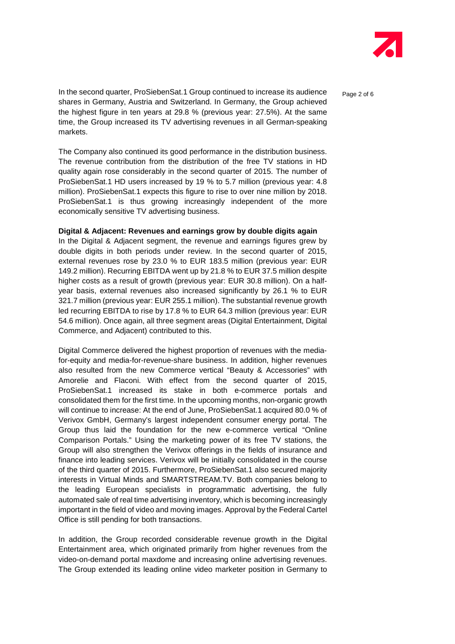

In the second quarter, ProSiebenSat.1 Group continued to increase its audience  $P_{\text{a}ae 2 of 6}$ shares in Germany, Austria and Switzerland. In Germany, the Group achieved the highest figure in ten years at 29.8 % (previous year: 27.5%). At the same time, the Group increased its TV advertising revenues in all German-speaking markets.

The Company also continued its good performance in the distribution business. The revenue contribution from the distribution of the free TV stations in HD quality again rose considerably in the second quarter of 2015. The number of ProSiebenSat.1 HD users increased by 19 % to 5.7 million (previous year: 4.8 million). ProSiebenSat.1 expects this figure to rise to over nine million by 2018. ProSiebenSat.1 is thus growing increasingly independent of the more economically sensitive TV advertising business.

#### **Digital & Adjacent: Revenues and earnings grow by double digits again**

In the Digital & Adjacent segment, the revenue and earnings figures grew by double digits in both periods under review. In the second quarter of 2015, external revenues rose by 23.0 % to EUR 183.5 million (previous year: EUR 149.2 million). Recurring EBITDA went up by 21.8 % to EUR 37.5 million despite higher costs as a result of growth (previous year: EUR 30.8 million). On a halfyear basis, external revenues also increased significantly by 26.1 % to EUR 321.7 million (previous year: EUR 255.1 million). The substantial revenue growth led recurring EBITDA to rise by 17.8 % to EUR 64.3 million (previous year: EUR 54.6 million). Once again, all three segment areas (Digital Entertainment, Digital Commerce, and Adjacent) contributed to this.

Digital Commerce delivered the highest proportion of revenues with the mediafor-equity and media-for-revenue-share business. In addition, higher revenues also resulted from the new Commerce vertical "Beauty & Accessories" with Amorelie and Flaconi. With effect from the second quarter of 2015, ProSiebenSat.1 increased its stake in both e-commerce portals and consolidated them for the first time. In the upcoming months, non-organic growth will continue to increase: At the end of June, ProSiebenSat.1 acquired 80.0 % of Verivox GmbH, Germany's largest independent consumer energy portal. The Group thus laid the foundation for the new e-commerce vertical "Online Comparison Portals." Using the marketing power of its free TV stations, the Group will also strengthen the Verivox offerings in the fields of insurance and finance into leading services. Verivox will be initially consolidated in the course of the third quarter of 2015. Furthermore, ProSiebenSat.1 also secured majority interests in Virtual Minds and SMARTSTREAM.TV. Both companies belong to the leading European specialists in programmatic advertising, the fully automated sale of real time advertising inventory, which is becoming increasingly important in the field of video and moving images. Approval by the Federal Cartel Office is still pending for both transactions.

In addition, the Group recorded considerable revenue growth in the Digital Entertainment area, which originated primarily from higher revenues from the video-on-demand portal maxdome and increasing online advertising revenues. The Group extended its leading online video marketer position in Germany to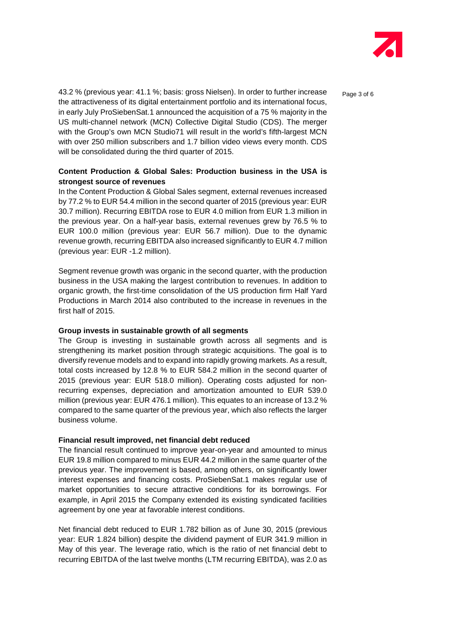

43.2 % (previous year: 41.1 %; basis: gross Nielsen). In order to further increase page 3 of 6 the attractiveness of its digital entertainment portfolio and its international focus, in early July ProSiebenSat.1 announced the acquisition of a 75 % majority in the US multi-channel network (MCN) Collective Digital Studio (CDS). The merger with the Group's own MCN Studio71 will result in the world's fifth-largest MCN with over 250 million subscribers and 1.7 billion video views every month. CDS will be consolidated during the third quarter of 2015.

#### **Content Production & Global Sales: Production business in the USA is strongest source of revenues**

In the Content Production & Global Sales segment, external revenues increased by 77.2 % to EUR 54.4 million in the second quarter of 2015 (previous year: EUR 30.7 million). Recurring EBITDA rose to EUR 4.0 million from EUR 1.3 million in the previous year. On a half-year basis, external revenues grew by 76.5 % to EUR 100.0 million (previous year: EUR 56.7 million). Due to the dynamic revenue growth, recurring EBITDA also increased significantly to EUR 4.7 million (previous year: EUR -1.2 million).

Segment revenue growth was organic in the second quarter, with the production business in the USA making the largest contribution to revenues. In addition to organic growth, the first-time consolidation of the US production firm Half Yard Productions in March 2014 also contributed to the increase in revenues in the first half of 2015.

#### **Group invests in sustainable growth of all segments**

The Group is investing in sustainable growth across all segments and is strengthening its market position through strategic acquisitions. The goal is to diversify revenue models and to expand into rapidly growing markets. As a result, total costs increased by 12.8 % to EUR 584.2 million in the second quarter of 2015 (previous year: EUR 518.0 million). Operating costs adjusted for nonrecurring expenses, depreciation and amortization amounted to EUR 539.0 million (previous year: EUR 476.1 million). This equates to an increase of 13.2 % compared to the same quarter of the previous year, which also reflects the larger business volume.

#### **Financial result improved, net financial debt reduced**

The financial result continued to improve year-on-year and amounted to minus EUR 19.8 million compared to minus EUR 44.2 million in the same quarter of the previous year. The improvement is based, among others, on significantly lower interest expenses and financing costs. ProSiebenSat.1 makes regular use of market opportunities to secure attractive conditions for its borrowings. For example, in April 2015 the Company extended its existing syndicated facilities agreement by one year at favorable interest conditions.

Net financial debt reduced to EUR 1.782 billion as of June 30, 2015 (previous year: EUR 1.824 billion) despite the dividend payment of EUR 341.9 million in May of this year. The leverage ratio, which is the ratio of net financial debt to recurring EBITDA of the last twelve months (LTM recurring EBITDA), was 2.0 as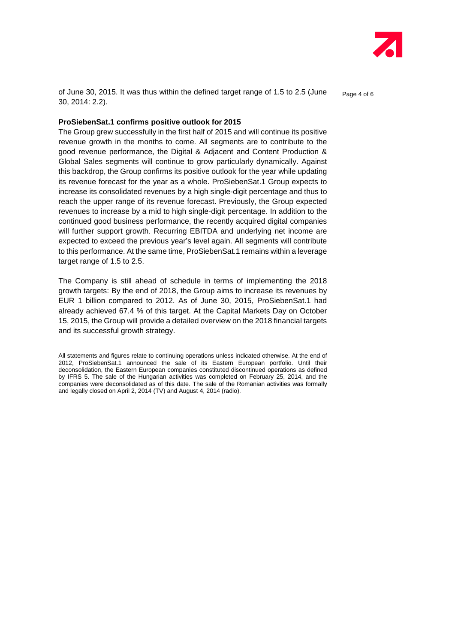

of June 30, 2015. It was thus within the defined target range of 1.5 to 2.5 (June  $P_{\text{a}ae 4 of 6}$ 30, 2014: 2.2).

#### **ProSiebenSat.1 confirms positive outlook for 2015**

The Group grew successfully in the first half of 2015 and will continue its positive revenue growth in the months to come. All segments are to contribute to the good revenue performance, the Digital & Adjacent and Content Production & Global Sales segments will continue to grow particularly dynamically. Against this backdrop, the Group confirms its positive outlook for the year while updating its revenue forecast for the year as a whole. ProSiebenSat.1 Group expects to increase its consolidated revenues by a high single-digit percentage and thus to reach the upper range of its revenue forecast. Previously, the Group expected revenues to increase by a mid to high single-digit percentage. In addition to the continued good business performance, the recently acquired digital companies will further support growth. Recurring EBITDA and underlying net income are expected to exceed the previous year's level again. All segments will contribute to this performance. At the same time, ProSiebenSat.1 remains within a leverage target range of 1.5 to 2.5.

The Company is still ahead of schedule in terms of implementing the 2018 growth targets: By the end of 2018, the Group aims to increase its revenues by EUR 1 billion compared to 2012. As of June 30, 2015, ProSiebenSat.1 had already achieved 67.4 % of this target. At the Capital Markets Day on October 15, 2015, the Group will provide a detailed overview on the 2018 financial targets and its successful growth strategy.

All statements and figures relate to continuing operations unless indicated otherwise. At the end of 2012, ProSiebenSat.1 announced the sale of its Eastern European portfolio. Until their deconsolidation, the Eastern European companies constituted discontinued operations as defined by IFRS 5. The sale of the Hungarian activities was completed on February 25, 2014, and the companies were deconsolidated as of this date. The sale of the Romanian activities was formally and legally closed on April 2, 2014 (TV) and August 4, 2014 (radio).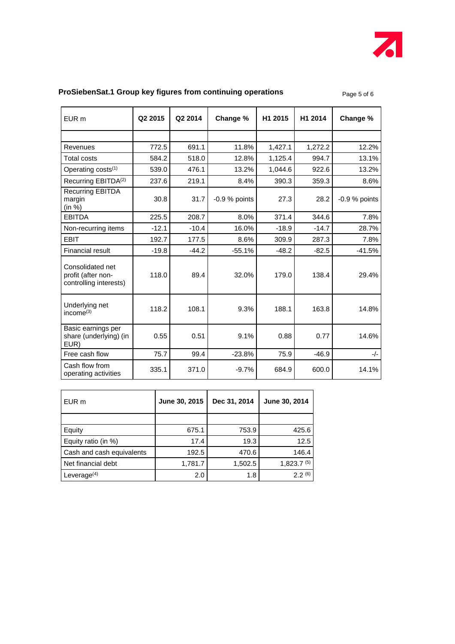

### **ProSiebenSat.1 Group key figures from continuing operations Page 5 of 6 frage 5 of 6**

| EUR <sub>m</sub>                                                 | Q <sub>2</sub> 2015 | Q2 2014 | Change %        | H1 2015 | H1 2014 | Change %        |
|------------------------------------------------------------------|---------------------|---------|-----------------|---------|---------|-----------------|
|                                                                  |                     |         |                 |         |         |                 |
| Revenues                                                         | 772.5               | 691.1   | 11.8%           | 1,427.1 | 1,272.2 | 12.2%           |
| <b>Total costs</b>                                               | 584.2               | 518.0   | 12.8%           | 1,125.4 | 994.7   | 13.1%           |
| Operating costs <sup>(1)</sup>                                   | 539.0               | 476.1   | 13.2%           | 1,044.6 | 922.6   | 13.2%           |
| Recurring EBITDA <sup>(2)</sup>                                  | 237.6               | 219.1   | 8.4%            | 390.3   | 359.3   | 8.6%            |
| <b>Recurring EBITDA</b><br>margin<br>(in %)                      | 30.8                | 31.7    | $-0.9$ % points | 27.3    | 28.2    | $-0.9\%$ points |
| <b>EBITDA</b>                                                    | 225.5               | 208.7   | 8.0%            | 371.4   | 344.6   | 7.8%            |
| Non-recurring items                                              | $-12.1$             | $-10.4$ | 16.0%           | $-18.9$ | $-14.7$ | 28.7%           |
| <b>EBIT</b>                                                      | 192.7               | 177.5   | 8.6%            | 309.9   | 287.3   | 7.8%            |
| <b>Financial result</b>                                          | $-19.8$             | $-44.2$ | $-55.1%$        | $-48.2$ | $-82.5$ | -41.5%          |
| Consolidated net<br>profit (after non-<br>controlling interests) | 118.0               | 89.4    | 32.0%           | 179.0   | 138.4   | 29.4%           |
| Underlying net<br>income $(3)$                                   | 118.2               | 108.1   | 9.3%            | 188.1   | 163.8   | 14.8%           |
| Basic earnings per<br>share (underlying) (in<br>EUR)             | 0.55                | 0.51    | 9.1%            | 0.88    | 0.77    | 14.6%           |
| Free cash flow                                                   | 75.7                | 99.4    | $-23.8%$        | 75.9    | $-46.9$ | $-/-$           |
| Cash flow from<br>operating activities                           | 335.1               | 371.0   | $-9.7%$         | 684.9   | 600.0   | 14.1%           |

| EUR m                     | June 30, 2015 | Dec 31, 2014 | June 30, 2014   |
|---------------------------|---------------|--------------|-----------------|
|                           |               |              |                 |
| Equity                    | 675.1         | 753.9        | 425.6           |
| Equity ratio (in %)       | 17.4          | 19.3         | 12.5            |
| Cash and cash equivalents | 192.5         | 470.6        | 146.4           |
| Net financial debt        | 1,781.7       | 1,502.5      | $1,823.7^{(5)}$ |
| Leverage $(4)$            | 2.0           | 1.8          | 2.2(6)          |